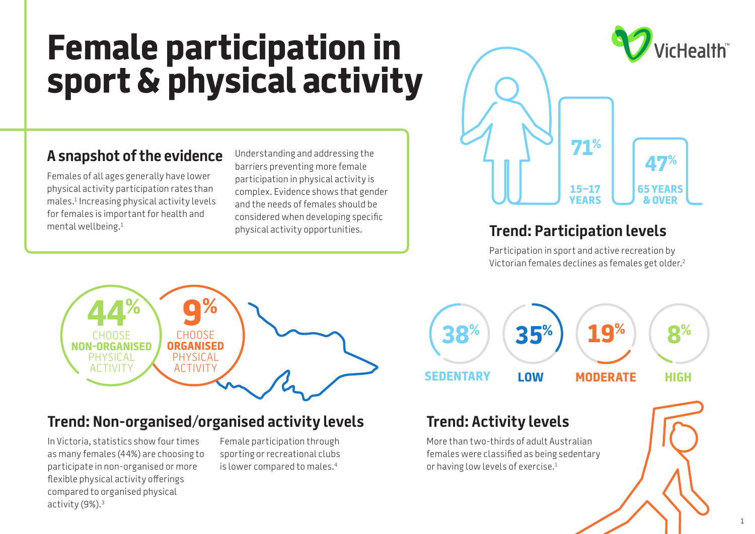# **Female participation in sport & physical activity**

### **A snapshot of the evidence**

Females of all ages generally have lower physical activity participation rates than males.1 Increasing physical activity levels for females is important for health and mental wellbeing.1

Understanding and addressing the barriers preventing more female participation in physical activity is complex. Evidence shows that gender and the needs of females should be considered when developing specific



#### physical activity opportunities. **Trend: Participation levels**

Participation in sport and active recreation by Victorian females declines as females get older.2

1



#### **Trend: Non-organised/organised activity levels**

In Victoria, statistics show four times as many females (44%) are choosing to participate in non-organised or more flexible physical activity offerings compared to organised physical activity (9%).3

Female participation through sporting or recreational clubs is lower compared to males.<sup>4</sup>



### **Trend: Activity levels**

More than two-thirds of adult Australian females were classified as being sedentary or having low levels of exercise.<sup>1</sup>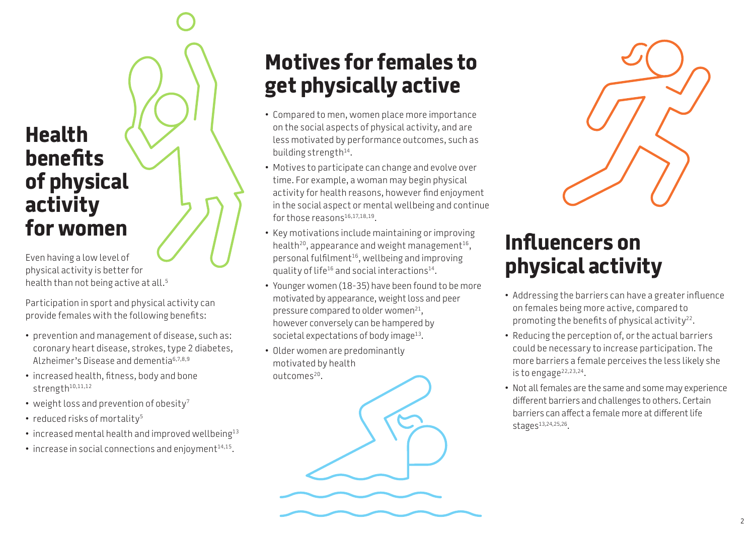### **Health benefits of physical activity for women**

Even having a low level of physical activity is better for health than not being active at all.<sup>5</sup>

Participation in sport and physical activity can provide females with the following benefits:

- prevention and management of disease, such as: coronary heart disease, strokes, type 2 diabetes, Alzheimer's Disease and dementia6,7,8,9
- increased health, fitness, body and bone strength<sup>10,11,12</sup>
- weight loss and prevention of obesity<sup>7</sup>
- reduced risks of mortality<sup>5</sup>
- $\cdot$  increased mental health and improved wellbeing<sup>13</sup>
- $\bullet$  increase in social connections and enjoyment<sup>14,15</sup>.

### **Motives for females to get physically active**

- Compared to men, women place more importance on the social aspects of physical activity, and are less motivated by performance outcomes, such as building strength<sup>14</sup>.
- Motives to participate can change and evolve over time. For example, a woman may begin physical activity for health reasons, however find enjoyment in the social aspect or mental wellbeing and continue  $f$ or those reasons $16,17,18,19$ .
- Key motivations include maintaining or improving health<sup>20</sup>, appearance and weight management<sup>16</sup>, personal fulfilment16, wellbeing and improving quality of life<sup>16</sup> and social interactions<sup>14</sup>.
- Younger women (18-35) have been found to be more motivated by appearance, weight loss and peer pressure compared to older women<sup>21</sup>, however conversely can be hampered by societal expectations of body image<sup>13</sup>.
- Older women are predominantly motivated by health outcomes20.





### **Influencers on physical activity**

- Addressing the barriers can have a greater influence on females being more active, compared to promoting the benefits of physical activity $22$ .
- Reducing the perception of, or the actual barriers could be necessary to increase participation. The more barriers a female perceives the less likely she is to engage $22,23,24$ .
- Not all females are the same and some may experience different barriers and challenges to others. Certain barriers can affect a female more at different life stages<sup>13,24,25,26</sup>.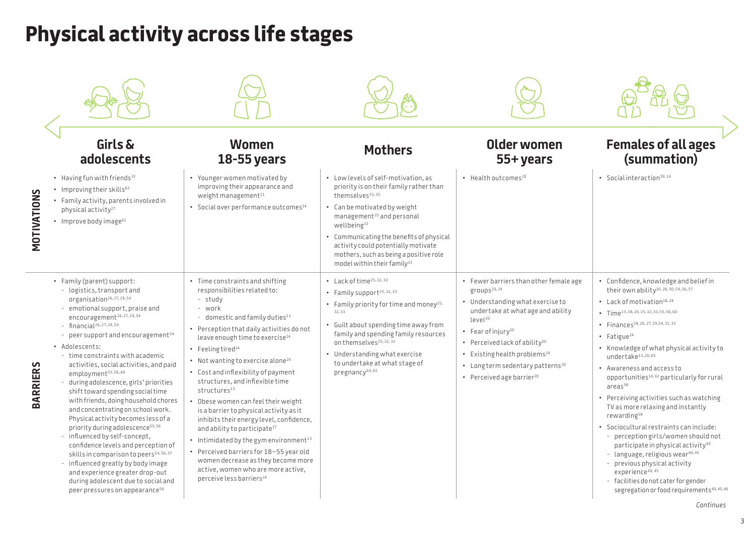### **Physical activity across life stages**

|                 | Girls &<br>adolescents                                                                                                                                                                                                                                                                                                                                                                                                                                                                                                                                                                                                                                                                                                                                                                                                                                                                                                                                            | <b>Women</b><br>18-55 years                                                                                                                                                                                                                                                                                                                                                                                                                                                                                                                                                                                                                                                                                                                                                                                          | <b>Mothers</b>                                                                                                                                                                                                                                                                                                                                                                             | Older women<br>55+ years                                                                                                                                                                                                                                                                                                                                                    | <b>Females of all ages</b><br>(summation)                                                                                                                                                                                                                                                                                                                                                                                                                                                                                                                                                                                                                                                                                                                                                                                                                                                                                                             |
|-----------------|-------------------------------------------------------------------------------------------------------------------------------------------------------------------------------------------------------------------------------------------------------------------------------------------------------------------------------------------------------------------------------------------------------------------------------------------------------------------------------------------------------------------------------------------------------------------------------------------------------------------------------------------------------------------------------------------------------------------------------------------------------------------------------------------------------------------------------------------------------------------------------------------------------------------------------------------------------------------|----------------------------------------------------------------------------------------------------------------------------------------------------------------------------------------------------------------------------------------------------------------------------------------------------------------------------------------------------------------------------------------------------------------------------------------------------------------------------------------------------------------------------------------------------------------------------------------------------------------------------------------------------------------------------------------------------------------------------------------------------------------------------------------------------------------------|--------------------------------------------------------------------------------------------------------------------------------------------------------------------------------------------------------------------------------------------------------------------------------------------------------------------------------------------------------------------------------------------|-----------------------------------------------------------------------------------------------------------------------------------------------------------------------------------------------------------------------------------------------------------------------------------------------------------------------------------------------------------------------------|-------------------------------------------------------------------------------------------------------------------------------------------------------------------------------------------------------------------------------------------------------------------------------------------------------------------------------------------------------------------------------------------------------------------------------------------------------------------------------------------------------------------------------------------------------------------------------------------------------------------------------------------------------------------------------------------------------------------------------------------------------------------------------------------------------------------------------------------------------------------------------------------------------------------------------------------------------|
| MOTIVATIONS     | • Having fun with friends <sup>31</sup><br>• Improving their skills <sup>62</sup><br>• Family activity, parents involved in<br>physical activity <sup>27</sup><br>• Improve body image <sup>61</sup>                                                                                                                                                                                                                                                                                                                                                                                                                                                                                                                                                                                                                                                                                                                                                              | · Younger women motivated by<br>improving their appearance and<br>weight management <sup>21</sup><br>• Social over performance outcomes <sup>14</sup>                                                                                                                                                                                                                                                                                                                                                                                                                                                                                                                                                                                                                                                                | • Low levels of self-motivation, as<br>priority is on their family rather than<br>themselves <sup>33, 35</sup><br>• Can be motivated by weight<br>management <sup>35</sup> and personal<br>wellbeing <sup>33</sup><br>• Communicating the benefits of physical<br>activity could potentially motivate<br>mothers, such as being a positive role<br>model within their family <sup>33</sup> | • Health outcomes <sup>20</sup>                                                                                                                                                                                                                                                                                                                                             | • Social interaction <sup>39,14</sup>                                                                                                                                                                                                                                                                                                                                                                                                                                                                                                                                                                                                                                                                                                                                                                                                                                                                                                                 |
| <b>BARRIERS</b> | • Family (parent) support:<br>- logistics, transport and<br>organisation <sup>26, 27, 29, 54</sup><br>- emotional support, praise and<br>encouragement <sup>26, 27, 29, 54</sup><br>- financial <sup>26, 27, 29, 54</sup><br>- peer support and encouragement <sup>54</sup><br>• Adolescents:<br>- time constraints with academic<br>activities, social activities, and paid<br>employment <sup>55, 56, 60</sup><br>- during adolescence, girls' priorities<br>shift toward spending social time<br>with friends, doing household chores<br>and concentrating on school work.<br>Physical activity becomes less of a<br>priority during adolescence <sup>55,56</sup><br>- influenced by self-concept,<br>confidence levels and perception of<br>skills in comparison to peers <sup>54, 56, 57</sup><br>- influenced greatly by body image<br>and experience greater drop-out<br>during adolescent due to social and<br>peer pressures on appearance <sup>56</sup> | • Time constraints and shifting<br>responsibilities related to:<br>- studv<br>- work<br>- domestic and family duties <sup>13</sup><br>• Perception that daily activities do not<br>leave enough time to exercise <sup>24</sup><br>• Feelingtired <sup>24</sup><br>• Not wanting to exercise alone <sup>24</sup><br>• Cost and inflexibility of payment<br>structures, and inflexible time<br>structures <sup>13</sup><br>• Obese women can feel their weight<br>is a barrier to physical activity as it<br>inhibits their energy level, confidence,<br>and ability to participate <sup>17</sup><br>• Intimidated by the gym environment <sup>13</sup><br>• Perceived barriers for 18-55 year old<br>women decrease as they become more<br>active, women who are more active,<br>perceive less barriers <sup>24</sup> | $\cdot$ Lack of time <sup>25, 32, 33</sup><br>• Family support <sup>25, 32, 33</sup><br>• Family priority for time and money <sup>25,</sup><br>32.33<br>• Guilt about spending time away from<br>family and spending family resources<br>on themselves <sup>25, 32, 33</sup><br>• Understanding what exercise<br>to undertake at what stage of<br>pregnancy <sup>64,65</sup>               | • Fewer barriers than other female age<br>groups $20, 24$<br>• Understanding what exercise to<br>undertake at what age and ability<br>level <sup>20</sup><br>• Fear of injury <sup>20</sup><br>• Perceived lack of ability <sup>20</sup><br>Existing health problems <sup>24</sup><br>• Long term sedentary patterns <sup>20</sup><br>• Perceived age barrier <sup>20</sup> | • Confidence, knowledge and belief in<br>their own ability <sup>20, 28, 50, 54, 56, 57</sup><br>• Lack of motivation <sup>18,24</sup><br>$\bullet$ Time <sup>13, 18, 24, 25, 32, 33, 55, 56, 60</sup><br>• Finances <sup>18, 26, 27, 29, 54, 31, 33</sup><br>$\cdot$ Fatigue <sup>24</sup><br>• Knowledge of what physical activity to<br>undertake <sup>13,20,65</sup><br>• Awareness and access to<br>opportunities <sup>14,42</sup> particularly for rural<br>areas <sup>58</sup><br>• Perceiving activities such as watching<br>TV as more relaxing and instantly<br>rewarding <sup>59</sup><br>· Sociocultural restraints can include:<br>- perception girls/women should not<br>participate in physical activity <sup>40</sup><br>- language, religious wear40,45<br>- previous physical activity<br>experience <sup>40,45</sup><br>- facilities do not cater for gender<br>segregation or food requirements <sup>40, 45, 46</sup><br>Continues |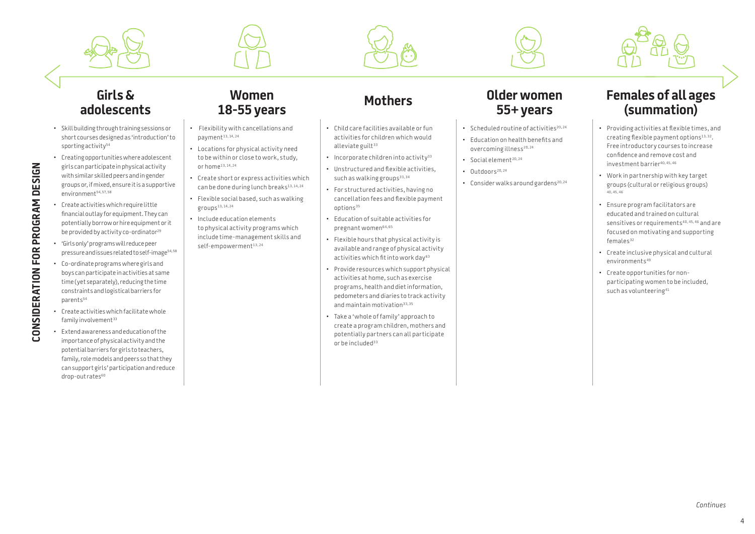





#### **Girls & adolescents**

- Skill building through training sessions or short courses designed as 'introduction' to sporting activity<sup>54</sup>
- Creating opportunities where adolescent girls can participate in physical activity with similar skilled peers and in gender groups or, if mixed, ensure it is a supportive environment54, 57, 58
- Create activities which require little financial outlay for equipment. They can potentially borrow or hire equipment or it be provided by activity co-ordinator<sup>29</sup>
- 'Girls only' programs will reduce peer pressure and issues related to self-image<sup>54,58</sup>
- Co-ordinate programs where girls and boys can participate in activities at same time (yet separately), reducing the time constraints and logistical barriers for parents54
- Create activities which facilitate whole  $f$ amily involvement $33$
- Extend awareness and education of the importance of physical activity and the potential barriers for girls to teachers, family, role models and peers so that they can support girls' participation and reduce drop-out rates<sup>60</sup>

## **Women**

- Flexibility with cancellations and payment<sup>13, 14, 24</sup>
- Locations for physical activity need to be within or close to work, study, or home13, 14, 24
- Create short or express activities which can be done during lunch breaks<sup>13, 14, 24</sup>
- Flexible social based, such as walking groups13, 14, 24
- Include education elements to physical activity programs which include time-management skills and self-empowerment<sup>13, 24</sup>
- 
- Child care facilities available or fun activities for children which would alleviate guilt $33$
- $\cdot$  Incorporate children into activity<sup>33</sup>
- Unstructured and flexible activities, such as walking groups<sup>33, 34</sup>
- For structured activities, having no cancellation fees and flexible payment options35
- Education of suitable activities for pregnant women64,65
- Flexible hours that physical activity is available and range of physical activity activities which fit into work day63
- Provide resources which support physical activities at home, such as exercise programs, health and diet information, pedometers and diaries to track activity and maintain motivation<sup>33, 35</sup>
- Take a 'whole of family' approach to create a program children, mothers and potentially partners can all participate or be included<sup>33</sup>

#### **18-55 years Mothers Older women 55+ years**

- Scheduled routine of activities $20, 24$
- Education on health benefits and overcoming illness<sup>20,24</sup>
- $\cdot$  Social element<sup>20, 24</sup>
- $\cdot$  Outdoors<sup>20, 24</sup>
- $\bullet$  Consider walks around gardens<sup>20,24</sup>

#### **Females of all ages (summation)**

- Providing activities at flexible times, and creating flexible payment options13, 32. Free introductory courses to increase confidence and remove cost and investment barrier40, 45, 46
- Work in partnership with key target groups (cultural or religious groups) 40, 45, 46
- Ensure program facilitators are educated and trained on cultural sensitives or requirements40, 45, 46 and are focused on motivating and supporting  $f$ emales<sup>32</sup>
- Create inclusive physical and cultural environments<sup>49</sup>
- Create opportunities for nonparticipating women to be included, such as volunteering<sup>41</sup>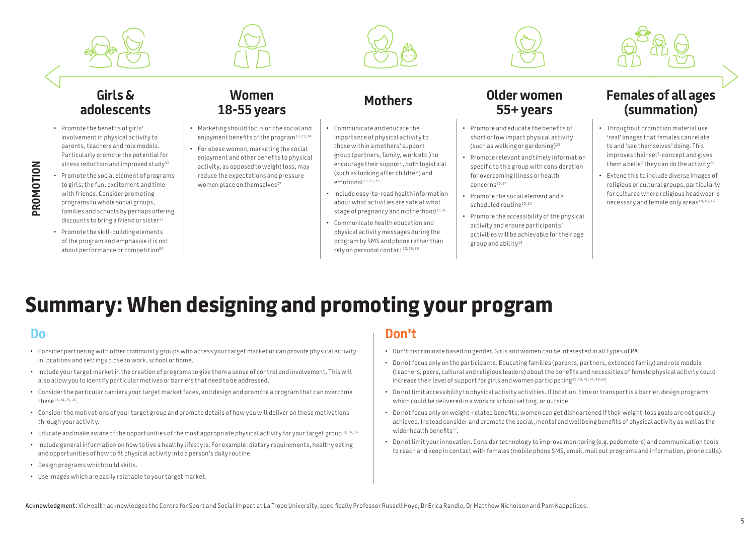



#### **Girls & adolescents**

• Promote the benefits of girls' involvement in physical activity to parents, teachers and role models. Particularly promote the potential for stress reduction and improved study<sup>58</sup>

- Promote the social element of programs to girls; the fun, excitement and time with friends. Consider promoting programs to whole social groups, families and schools by perhaps offering discounts to bring a friend or sister $33$
- Promote the skill-building elements of the program and emphasise it is not about performance or competition<sup>60</sup>

## **Women**

- Marketing should focus on the social and enjoyment benefits of the program<sup>13, 17, 24</sup>
- For obese women, marketing the social enjoyment and other benefits to physical activity, as opposed to weight loss, may reduce the expectations and pressure women place on themselves<sup>17</sup>
- Communicate and educate the
- importance of physical activity to those within a mothers' support group (partners, family, work etc.) to encourage their support, both logistical (such as looking after children) and emotional23, 25, 33
- Include easy-to-read health information about what activities are safe at what stage of pregnancy and motherhood<sup>33, 35</sup>
- Communicate health education and physical activity messages during the program by SMS and phone rather than rely on personal contact<sup>33, 35, 36</sup>

#### **18-55 years Mothers Older women 55+ years**

- Promote and educate the benefits of short or low impact physical activity (such as walking or gardening) $^{22}$
- Promote relevant and timely information specific to this group with consideration for overcoming illness or health concerns<sup>20, 24</sup>
- Promote the social element and a scheduled routine20, 24
- Promote the accessibility of the physical activity and ensure participants' activities will be achievable for their age group and ability<sup>13</sup>

#### **Females of all ages (summation)**

- Throughout promotion material use 'real' images that females can relate to and 'see themselves' doing. This improves their self-concept and gives them a belief they can do the activity<sup>50</sup>
- Extend this to include diverse images of religious or cultural groups, particularly for cultures where religious headwear is necessary and female only areas<sup>40, 45, 46</sup>

### **Summary: When designing and promoting your program**

- Consider partnering with other community groups who access your target market or can provide physical activity in locations and settings close to work, school or home.
- Include your target market in the creation of programs to give them a sense of control and involvement. This will also allow you to identify particular motives or barriers that need to be addressed.
- Consider the particular barriers your target market faces, and design and promote a program that can overcome these13, 24, 25, 26.
- Consider the motivations of your target group and promote details of how you will deliver on these motivations through your activity.
- Educate and make aware of the opportunities of the most appropriate physical activity for your target group13, 14, 65
- Include general information on how to live a healthy lifestyle. For example: dietary requirements, healthy eating and opportunities of how to fit physical activity into a person's daily routine.
- Design programs which build skills.
- Use images which are easily relatable to your target market.

#### **Do Don't**

- Don't discriminate based on gender. Girls and women can be interested in all types of PA.
- Do not focus only on the participants. Educating families (parents, partners, extended family) and role models (teachers, peers, cultural and religious leaders) about the benefits and necessities of female physical activity could increase their level of support for girls and women participating29,40, 41, 45, 46, 60.
- Do not limit accessibility to physical activity activities. If location, time or transport is a barrier, design programs which could be delivered in a work or school setting, or outside.
- Do not focus only on weight-related benefits; women can get disheartened if their weight-loss goals are not quickly achieved. Instead consider and promote the social, mental and wellbeing benefits of physical activity as well as the wider health benefits<sup>17</sup>.
- Do not limit your innovation. Consider technology to improve monitoring (e.g. pedometers) and communication tools to reach and keep in contact with females (mobile phone SMS, email, mail out programs and information, phone calls).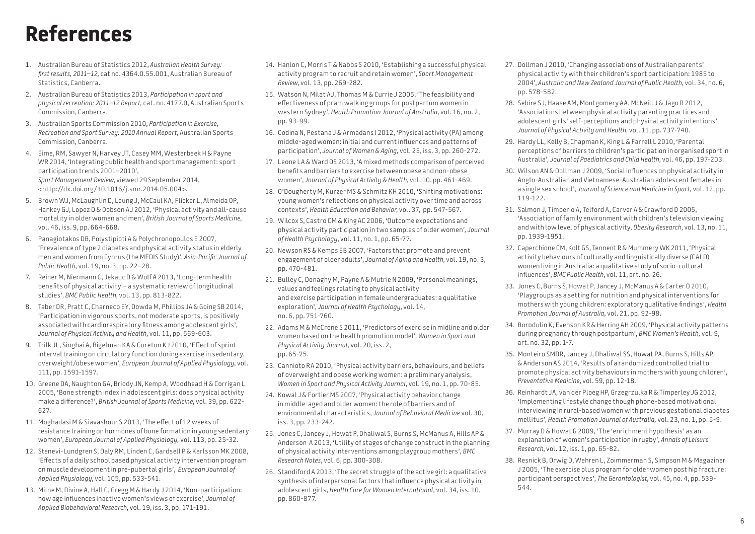### **References**

- 1. Australian Bureau of Statistics 2012, *Australian Health Survey: first results, 2011*–*12,* cat no. 4364.0.55.001, Australian Bureau of Statistics, Canberra.
- 2. Australian Bureau of Statistics 2013, *Participation in sport and physical recreation: 2011–12 Report,* cat. no. 4177.0, Australian Sports Commission, Canberra.
- 3. Australian Sports Commission 2010, *Participation in Exercise, Recreation and Sport Survey: 2010 Annual Report*, Australian Sports Commission, Canberra.
- 4. Eime, RM, Sawyer N, Harvey JT, Casey MM, Westerbeek H & Payne WR 2014, 'Integrating public health and sport management: sport participation trends 2001–2010', *Sport Management Review*, viewed 29 September 2014, <http://dx.doi.org/10.1016/j.smr.2014.05.004>.
- 5. Brown WJ, McLaughlin D, Leung J, McCaul KA, Flicker L, Almeida OP, Hankey GJ, Lopez D & Dobson AJ 2012, 'Physical activity and all-cause mortality in older women and men', *British Journal of Sports Medicine*, vol. 46, iss. 9, pp. 664-668.
- 6. Panagiotakos DB, Polystipioti A & Polychronopoulos E 2007, 'Prevalence of type 2 diabetes and physical activity status in elderly men and women from Cyprus (the MEDIS Study)', *Asia-Pacific Journal of Public Health*, vol. 19, no. 3, pp. 22–28.
- 7. Reiner M, Niermann C, Jekauc D & Wolf A 2013, 'Long-term health benefits of physical activity – a systematic review of longitudinal studies', *BMC Public Health*, vol. 13, pp. 813-822.
- 8. Taber DR, Pratt C, Charneco EY, Dowda M, Phillips JA & Going SB 2014, 'Participation in vigorous sports, not moderate sports, is positively associated with cardiorespiratory fitness among adolescent girls', *Journal of Physical Activity and Health*, vol. 11, pp. 569-603.
- 9. Trilk JL, Singhai A, Bigelman KA & Cureton KJ 2010, 'Effect of sprint interval training on circulatory function during exercise in sedentary, overweight/obese women', *European Journal of Applied Physiology*, vol. 111, pp. 1591-1597.
- 10. Greene DA, Naughton GA, Briody JN, Kemp A, Woodhead H & Corrigan L 2005, 'Bone strength index in adolescent girls: does physical activity make a difference?', *British Journal of Sports Medicine*, vol. 39, pp. 622- 627.
- 11. Moghadasi M & Siavashour S 2013, 'The effect of 12 weeks of resistance training on hormones of bone formation in young sedentary women', *European Journal of Applied Physiology,* vol. 113, pp. 25-32.
- 12. Stenevi-Lundgren S, Daly RM, Linden C, Gardsell P & Karlsson MK 2008, 'Effects of a daily school based physical activity intervention program on muscle development in pre-pubertal girls', *European Journal of Applied Physiology*, vol. 105, pp. 533-541.
- 13. Milne M, Divine A, Hall C, Gregg M & Hardy J 2014, 'Non-participation: how age influences inactive women's views of exercise', *Journal of Applied Biobehavioral Research*, vol. 19, iss. 3, pp. 171-191.
- 14. Hanlon C, Morris T & Nabbs S 2010, 'Establishing a successful physical activity program to recruit and retain women', *Sport Management Review*, vol. 13, pp. 269-282.
- 15. Watson N, Milat AJ, Thomas M & Currie J 2005, 'The feasibility and effectiveness of pram walking groups for postpartum women in western Sydney', *Health Promotion Journal of Australia*, vol. 16, no. 2, pp. 93-99.
- 16. Codina N, Pestana J & Armadans I 2012, 'Physical activity (PA) among middle-aged women: initial and current influences and patterns of participation', *Journal of Women & Aging*, vol. 25, iss. 3, pp. 260-272.
- 17. Leone LA & Ward DS 2013, 'A mixed methods comparison of perceived benefits and barriers to exercise between obese and non-obese women', *Journal of Physical Activity & Health*, vol. 10, pp. 461-469.
- 18. O'Dougherty M, Kurzer MS & Schmitz KH 2010, 'Shifting motivations: young women's reflections on physical activity over time and across contexts', *Health Education and Behavior*, vol. 37, pp. 547-567.
- 19. Wilcox S, Castro CM & King AC 2006, 'Outcome expectations and physical activity participation in two samples of older women'*, Journal of Health Psychology*, vol. 11, no. 1, pp. 65-77.
- 20. Newson RS & Kemps EB 2007, 'Factors that promote and prevent engagement of older adults', *Journal of Aging and Health*, vol. 19, no. 3, pp. 470-481.
- 21. Bulley C, Donaghy M, Payne A & Mutrie N 2009, 'Personal meanings, values and feelings relating to physical activity and exercise participation in female undergraduates: a qualitative exploration', *Journal of Health Psychology*, vol. 14, no. 6, pp. 751-760.
- 22. Adams M & McCrone S 2011, 'Predictors of exercise in midline and older women based on the health promotion model', *Women in Sport and Physical Activity Journal,* vol. 20, iss. 2, pp. 65-75.
- 23. Cannioto RA 2010, 'Physical activity barriers, behaviours, and beliefs of overweight and obese working women: a preliminary analysis, *Women in Sport and Physical Activity Journal*, vol. 19, no. 1, pp. 70-85.
- 24. Kowal J & Fortier MS 2007, 'Physical activity behavior change in middle-aged and older women: the role of barriers and of environmental characteristics, *Journal of Behavioral Medicine* vol. 30, iss. 3, pp. 233-242.
- 25. Jones C, Jancey J, Howat P, Dhaliwal S, Burns S, McManus A, Hills AP & Anderson A 2013, 'Utility of stages of change construct in the planning of physical activity interventions among playgroup mothers', *BMC Research Notes*, vol. 6, pp. 300-308.
- 26. Standiford A 2013, 'The secret struggle of the active girl: a qualitative synthesis of interpersonal factors that influence physical activity in adolescent girls, *Health Care for Women International,* vol. 34, iss. 10, pp. 860-877.
- 27. Dollman J 2010, 'Changing associations of Australian parents' physical activity with their children's sport participation: 1985 to 2004', *Australia and New Zealand Journal of Public Health*, vol. 34, no. 6, pp. 578-582.
- 28. Sebire SJ, Haase AM, Montgomery AA, McNeill J & Jago R 2012, 'Associations between physical activity parenting practices and adolescent girls' self-perceptions and physical activity intentions', *Journal of Physical Activity and Health*, vol. 11, pp. 737-740.
- 29. Hardy LL, Kelly B, Chapman K, King L & Farrell L 2010, 'Parental perceptions of barriers to children's participation in organised sport in Australia'*, Journal of Paediatrics and Child Health*, vol. 46, pp. 197-203.
- 30. Wilson AN & Dollman J 2009, 'Social influences on physical activity in Anglo-Australian and Vietnamese-Australian adolescent females in a single sex school', *Journal of Science and Medicine in Sport,* vol. 12, pp. 119-122.
- 31. Salmon J, Timperio A, Telford A, Carver A & Crawford D 2005, 'Association of family environment with children's television viewing and with low level of physical activity, *Obesity Research*, vol. 13, no. 11, pp. 1939-1951.
- 32. Caperchione CM, Kolt GS, Tennent R & Mummery WK 2011, 'Physical activity behaviours of culturally and linguistically diverse (CALD) women living in Australia: a qualitative study of socio-cultural influences', *BMC Public Health*, vol. 11, art. no. 26.
- 33. Jones C, Burns S, Howat P, Jancey J, McManus A & Carter O 2010, 'Playgroups as a setting for nutrition and physical interventions for mothers with young children: exploratory qualitative findings', *Health Promotion Journal of Australia*, vol. 21, pp. 92-98.
- 34. Borodulin K, Evenson KR & Herring AH 2009, 'Physical activity patterns during pregnancy through postpartum', *BMC Women's Health,* vol. 9, art. no. 32, pp. 1-7.
- 35. Monteiro SMDR, Jancey J, Dhaliwal SS, Howat PA, Burns S, Hills AP & Anderson AS 2014, 'Results of a randomized controlled trial to promote physical activity behaviours in mothers with young children', *Preventative Medicine*, vol. 59, pp. 12-18.
- 36. Reinhardt JA, van der Ploeg HP, Grzegrzulka R & Timperley JG 2012, 'Implementing lifestyle change though phone-based motivational interviewing in rural-based women with previous gestational diabetes mellitus', *Health Promotion Journal of Australia,* vol. 23, no. 1, pp. 5-9.
- 37. Murray D & Howat G 2009, 'The 'enrichment hypothesis' as an explanation of women's participation in rugby', *Annals of Leisure Research*, vol. 12, iss. 1, pp. 65-82.
- 38. Resnick B, Orwig D, Wehren L, Zoimmerman S, Simpson M & Magaziner J 2005, 'The exercise plus program for older women post hip fracture: participant perspectives', *The Gerontologist*, vol. 45, no. 4, pp. 539- 544.